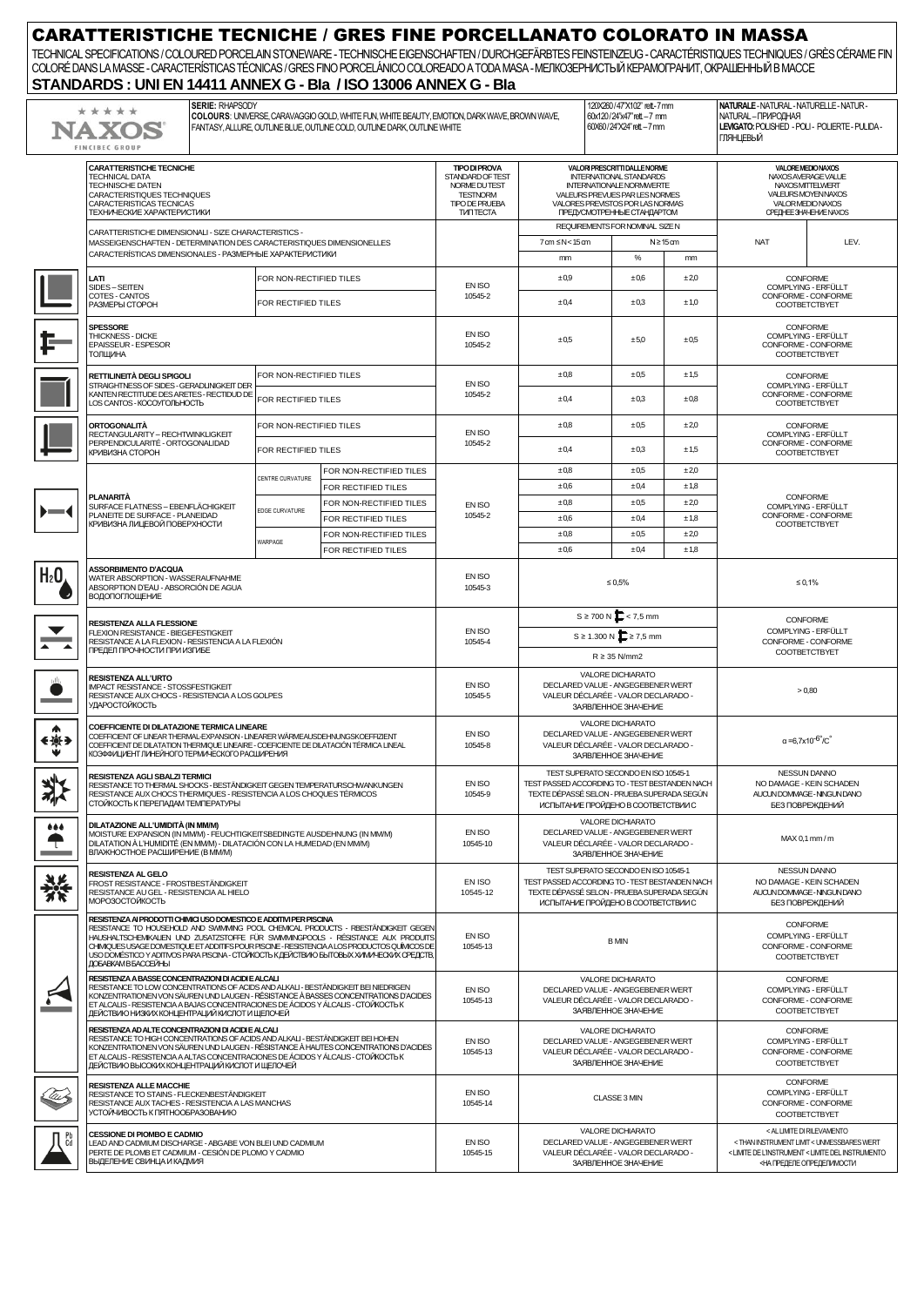| <b>CARATTERISTICHE TECNICHE / GRES FINE PORCELLANATO COLORATO IN MASSA</b><br>TECHNICAL SPECIFICATIONS / COLOURED PORCELAIN STONEWARE - TECHNISCHE EIGENSCHAFTEN / DURCHGEFÄRBTES FEINSTEINZEUG - CARACTÉRISTIQUES TECHNIQUES / GRÈS CÉRAME FIN<br>COLORÉ DANS LA MASSE - CARACTERÍSTICAS TÉCNICAS / GRES FINO PORCELÁNICO COLOREADO A TODA MASA - MEЛКОЗЕРНИСТЫЙ КЕРАМОГРАНИТ, ОКРАШЕННЫЙ В МАССЕ<br>STANDARDS: UNI EN 14411 ANNEX G - Bla / ISO 13006 ANNEX G - Bla |                                                                                                                                                                                                                                                                                                                                                                                                                                                                    |                                                                                                                                                                                                                                                                     |                                                                                                                                                                                                        |                                                                                                                             |                    |                                                                                                                                                                              |                                                                                                                                                                                           |                      |                                                                                               |                                                                                |
|-----------------------------------------------------------------------------------------------------------------------------------------------------------------------------------------------------------------------------------------------------------------------------------------------------------------------------------------------------------------------------------------------------------------------------------------------------------------------|--------------------------------------------------------------------------------------------------------------------------------------------------------------------------------------------------------------------------------------------------------------------------------------------------------------------------------------------------------------------------------------------------------------------------------------------------------------------|---------------------------------------------------------------------------------------------------------------------------------------------------------------------------------------------------------------------------------------------------------------------|--------------------------------------------------------------------------------------------------------------------------------------------------------------------------------------------------------|-----------------------------------------------------------------------------------------------------------------------------|--------------------|------------------------------------------------------------------------------------------------------------------------------------------------------------------------------|-------------------------------------------------------------------------------------------------------------------------------------------------------------------------------------------|----------------------|-----------------------------------------------------------------------------------------------|--------------------------------------------------------------------------------|
|                                                                                                                                                                                                                                                                                                                                                                                                                                                                       | <b>SERIE: RHAPSODY</b><br>*****<br>NA XO:<br><b>FINCIBEC GROUP</b>                                                                                                                                                                                                                                                                                                                                                                                                 | 120X260/47"X102" rett - 7 mm<br>COLOURS: UNIVERSE, CARAVAGGIO GOLD, WHITE FUN, WHITE BEAUTY, EMOTION, DARK WAVE, BROWN WAVE,<br>60x120/24"x47" rett - 7 mm<br>60X60/24"X24" rett - 7 mm<br>FANTASY, ALLURE, OUTLINE BLUE, OUTLINE COLD, OUTLINE DARK, OUTLINE WHITE |                                                                                                                                                                                                        |                                                                                                                             |                    | NATURALE - NATURAL - NATURELLE - NATUR -<br>NATURAL-ПРИРОДНАЯ<br>LEVIGATO: POLISHED - POLI - POLIERTE - PULIDA -<br><b>ГЛЯНЦЕВЫЙ</b>                                         |                                                                                                                                                                                           |                      |                                                                                               |                                                                                |
|                                                                                                                                                                                                                                                                                                                                                                                                                                                                       | <b>CARATTERISTICHE TECNICHE</b><br><b>TECHNICAL DATA</b><br>TECHNISCHE DATEN<br>CARACTERISTIQUES TECHNIQUES<br>CARACTERISTICAS TECNICAS<br>ТЕХНИЧЕСКИЕ ХАРАКТЕРИСТИКИ                                                                                                                                                                                                                                                                                              | <b>TIPO DI PROVA</b><br>STANDARD OF TEST<br>NORME DUTEST<br><b>TESTNORM</b><br><b>TIPO DE PRUEBA</b><br><b>TVINTECTA</b>                                                                                                                                            | VALORI PRESCRITTI DALLE NORME<br>INTERNATIONAL STANDARDS<br><b>INTERNATIONALE NORMWERTE</b><br>VALEURS PREVUES PAR LES NORMES<br>VALORES PREVISTOS POR LAS NORMAS<br><b>ПРЕДУСМОТРЕННЫЕ СТАНДАРТОМ</b> |                                                                                                                             |                    | <b>VALORE MEDIO NAXOS</b><br>NAXOS AVERAGE VALUE<br>NAXOSMITTELWERT<br><b>VALEURS MOYEN NAXOS</b><br>VALOR MEDIO NAXOS<br>CPEДHEE 3HAYEHVENAXOS                              |                                                                                                                                                                                           |                      |                                                                                               |                                                                                |
|                                                                                                                                                                                                                                                                                                                                                                                                                                                                       | CARATTERISTICHE DIMENSIONALI - SIZE CHARACTERISTICS -<br>MASSEIGENSCHAFTEN - DETERMINATION DES CARACTERISTIQUES DIMENSIONELLES<br>CARACTERÍSTICAS DIMENSIONALES - РАЗМЕРНЫЕ ХАРАКТЕРИСТИКИ                                                                                                                                                                                                                                                                         |                                                                                                                                                                                                                                                                     |                                                                                                                                                                                                        |                                                                                                                             |                    | REQUIREMENTS FOR NOMINAL SIZE N<br>7 am ≤N<15 am<br>$N \geq 15$ cm<br>$\%$<br>mm<br>mm                                                                                       |                                                                                                                                                                                           | <b>NAT</b>           | LEV.                                                                                          |                                                                                |
|                                                                                                                                                                                                                                                                                                                                                                                                                                                                       | -ATI<br>SIDES-SEITEN<br>COTES - CANTOS<br>РАЗМЕРЫ СТОРОН                                                                                                                                                                                                                                                                                                                                                                                                           |                                                                                                                                                                                                                                                                     | FOR NON-RECTIFIED TILES<br>FOR RECTIFIED TILES                                                                                                                                                         |                                                                                                                             | EN ISO<br>10545-2  | ±0.9<br>±0,4                                                                                                                                                                 | ±0,6<br>±0,3                                                                                                                                                                              | ±2,0<br>±1,0         |                                                                                               | <b>CONFORME</b><br>COMPLYING - ERFÜLLT<br>CONFORME - CONFORME<br>COOTBETCTBYET |
|                                                                                                                                                                                                                                                                                                                                                                                                                                                                       | <b>SPESSORE</b><br>THICKNESS - DICKE<br>EPAISSEUR - ESPESOR<br>ТОЛЩИНА                                                                                                                                                                                                                                                                                                                                                                                             |                                                                                                                                                                                                                                                                     |                                                                                                                                                                                                        |                                                                                                                             | EN ISO<br>10545-2  | ±0.5                                                                                                                                                                         | ±5,0                                                                                                                                                                                      | ±0.5                 | <b>CONFORME</b><br>COMPLYING - ERFÜLLT<br>CONFORME - CONFORME<br><b>COOTBETCTBYET</b>         |                                                                                |
|                                                                                                                                                                                                                                                                                                                                                                                                                                                                       | RETTILINEITÀ DEGLI SPIGOLI<br>STRAIGHTNESS OF SIDES - GERADLINIGKEIT DER<br>KANTEN RECTITUDE DES ARETES - RECTIDUD DE                                                                                                                                                                                                                                                                                                                                              |                                                                                                                                                                                                                                                                     | FOR NON-RECTIFIED TILES                                                                                                                                                                                |                                                                                                                             | EN ISO<br>10545-2  | ±0,8<br>±0.5<br>±0.4<br>±0,3                                                                                                                                                 |                                                                                                                                                                                           | ±1,5<br>$\pm 0.8$    | CONFORME<br>COMPLYING - ERFÜLLT<br>CONFORME - CONFORME                                        |                                                                                |
|                                                                                                                                                                                                                                                                                                                                                                                                                                                                       | LOS CANTOS - КОСОУГОЛЬНОСТЬ<br>ORTOGONALITÀ<br>RECTANGULARITY - RECHTWINKLIGKEIT<br>PERPENDICULARITÉ - ORTOGONALIDAD<br>КРИВИЗНА СТОРОН                                                                                                                                                                                                                                                                                                                            |                                                                                                                                                                                                                                                                     | FOR RECTIFIED TILES<br>FOR NON-RECTIFIED TILES                                                                                                                                                         |                                                                                                                             | EN ISO             | ±0,8                                                                                                                                                                         | ±0.5                                                                                                                                                                                      | ±2,0                 |                                                                                               | COOTBETCTBYET<br><b>CONFORME</b><br>COMPLYING - ERFÜLLT                        |
|                                                                                                                                                                                                                                                                                                                                                                                                                                                                       |                                                                                                                                                                                                                                                                                                                                                                                                                                                                    |                                                                                                                                                                                                                                                                     | FOR RECTIFIED TILES<br>FOR NON-RECTIFIED TILES                                                                                                                                                         |                                                                                                                             | 10545-2            | ±0,4<br>±0,8                                                                                                                                                                 | ±0.3<br>±0.5                                                                                                                                                                              | ±1,5<br>±2,0         | CONFORME - CONFORME<br>COOTBETCTBYET                                                          |                                                                                |
| $\blacksquare$                                                                                                                                                                                                                                                                                                                                                                                                                                                        | <b>PLANARITÀ</b><br>SURFACE FLATNESS - EBENFLÄCHIGKEIT<br>PLANEITE DE SURFACE - PLANEIDAD<br>КРИВИЗНА ЛИЦЕВОЙ ПОВЕРХНОСТИ                                                                                                                                                                                                                                                                                                                                          |                                                                                                                                                                                                                                                                     | <b>EDGE CURVATURE</b>                                                                                                                                                                                  | CENTRE CURVATURE<br>FOR RECTIFIED TILES<br>FOR NON-RECTIFIED TILES<br>FOR RECTIFIED TILES                                   |                    | ±0,6<br>±0,8<br>±0.6                                                                                                                                                         | ±0,4<br>±0,5<br>±0.4                                                                                                                                                                      | ±1,8<br>±2,0<br>±1,8 | <b>CONFORME</b><br>COMPLYING - ERFÜLLT<br>CONFORME - CONFORME<br>COOTBETCTBYET                |                                                                                |
|                                                                                                                                                                                                                                                                                                                                                                                                                                                                       |                                                                                                                                                                                                                                                                                                                                                                                                                                                                    |                                                                                                                                                                                                                                                                     | WARPAGE                                                                                                                                                                                                | FOR NON-RECTIFIED TILES<br>FOR RECTIFIED TILES                                                                              |                    | ±0,8<br>±0,6                                                                                                                                                                 | ±0.5<br>±0.4                                                                                                                                                                              | ±2,0<br>±1,8         |                                                                                               |                                                                                |
| H2O                                                                                                                                                                                                                                                                                                                                                                                                                                                                   | <b>ASSORBIMENTO D'ACQUA</b><br>WATER ABSORPTION - WASSERAUFNAHME<br>ABSORPTION D'EAU - ABSORCIÓN DE AGUA<br><b>ВОДОПОГЛОЩЕНИЕ</b>                                                                                                                                                                                                                                                                                                                                  | EN ISO<br>10545-3                                                                                                                                                                                                                                                   | $\leq 0.5\%$                                                                                                                                                                                           |                                                                                                                             |                    | ≤ 0,1%                                                                                                                                                                       |                                                                                                                                                                                           |                      |                                                                                               |                                                                                |
| ▴                                                                                                                                                                                                                                                                                                                                                                                                                                                                     | RESISTENZA ALLA FLESSIONE<br>FLEXION RESISTANCE - BIEGEFESTIGKEIT<br>RESISTANCE A LA FLEXION - RESISTENCIA A LA FLEXIÓN<br>ПРЕДЕЛ ПРОЧНОСТИ ПРИ ИЗГИБЕ                                                                                                                                                                                                                                                                                                             |                                                                                                                                                                                                                                                                     |                                                                                                                                                                                                        |                                                                                                                             | EN ISO<br>10545-4  | $S \ge 700 \text{ N}$ $\sum$ < 7,5 mm<br>S ≥ 1.300 N $\sum$ ≥ 7,5 mm<br>$R \geq 35$ N/mm2                                                                                    |                                                                                                                                                                                           |                      | <b>CONFORME</b><br>COMPLYING - ERFÜLLT<br>CONFORME - CONFORME<br>COOTBETCTBYET                |                                                                                |
|                                                                                                                                                                                                                                                                                                                                                                                                                                                                       | RESISTENZA ALL'URTO<br><b>IMPACT RESISTANCE - STOSSFESTIGKEIT</b><br>RESISTANCE AUX CHOCS - RESISTENCIA A LOS GOLPES<br><b>УДАРОСТОЙКОСТЬ</b>                                                                                                                                                                                                                                                                                                                      |                                                                                                                                                                                                                                                                     |                                                                                                                                                                                                        |                                                                                                                             | EN ISO<br>10545-5  | <b>VALORE DICHIARATO</b><br>DECLARED VALUE - ANGEGEBENER WERT<br>VALEUR DÉCLARÉE - VALOR DECLARADO -<br>ЗАЯВЛЕННОЕ ЗНАЧЕНИЕ                                                  |                                                                                                                                                                                           |                      | > 0.80                                                                                        |                                                                                |
| €∕⊛∌                                                                                                                                                                                                                                                                                                                                                                                                                                                                  | COEFFICIENTE DI DILATAZIONE TERMICA LINEARE<br>COEFFICIENT OF LINEAR THERMAL-EXPANSION - LINEARER WÄRMEAUSDEHNUNGSKOEFFIZIENT<br>COEFFICIENT DE DILATATION THERMIQUE LINEAIRE - COEFICIENTE DE DILATACIÓN TÉRMICA LINEAL<br>КОЭФФИЦИЕНТ ЛИНЕЙНОГО ТЕРМИЧЕСКОГО РАСШИРЕНИЯ                                                                                                                                                                                          |                                                                                                                                                                                                                                                                     |                                                                                                                                                                                                        |                                                                                                                             | EN ISO<br>10545-8  | <b>VALORE DICHIARATO</b><br>DECLARED VALUE - ANGEGEBENER WERT<br>VALEUR DÉCLARÉE - VALOR DECLARADO -<br>ЗАЯВЛЕННОЕ ЗНАЧЕНИЕ                                                  |                                                                                                                                                                                           |                      | $\alpha = 6.7 \times 10^{-6}$ / C                                                             |                                                                                |
|                                                                                                                                                                                                                                                                                                                                                                                                                                                                       | RESISTENZA AGLI SBALZI TERMICI<br>RESISTANCE TO THERMAL SHOCKS - BESTÄNDIGKEIT GEGEN TEMPERATURSCHWANKUNGEN<br>RESISTANCE AUX CHOCS THERMIQUES - RESISTENCIA A LOS CHOQUES TÉRMICOS<br>СТОЙКОСТЬ К ПЕРЕПАДАМ ТЕМПЕРАТУРЫ                                                                                                                                                                                                                                           | EN ISO<br>10545-9                                                                                                                                                                                                                                                   | TEST SUPERATO SECONDO EN ISO 10545-1<br>TEST PASSED ACCORDING TO - TEST BESTANDEN NACH<br>TEXTE DÉPASSÉ SELON - PRUEBA SUPERADA SEGÚN<br>ИСПЫТАНИЕ ПРОЙДЕНО В СООТВЕТСТВИИ С                           |                                                                                                                             |                    | <b>NESSUN DANNO</b><br>NO DAMAGE - KEIN SCHADEN<br>AUCUNDOMMAGE-NINGUNDANO<br>БЕЗ ПОВРЕЖДЕНИЙ                                                                                |                                                                                                                                                                                           |                      |                                                                                               |                                                                                |
| $\bullet\bullet\bullet$                                                                                                                                                                                                                                                                                                                                                                                                                                               | DILATAZIONE ALL'UMIDITÀ (IN MM/M)<br>MOISTURE EXPANSION (IN MMM) - FEUCHTIGKEITSBEDINGTE AUSDEHNUNG (IN MMM)<br>DILATATION À L'HUMIDITÉ (EN MMM) - DILATACIÓN CON LA HUMEDAD (EN MMM)<br><b>ВЛАЖНОСТНОЕ РАСШИРЕНИЕ (В МММ)</b>                                                                                                                                                                                                                                     | EN ISO<br>10545-10                                                                                                                                                                                                                                                  | <b>VALORE DICHIARATO</b><br>DECLARED VALUE - ANGEGEBENER WERT<br>VALEUR DÉCLARÉE - VALOR DECLARADO -<br>ЗАЯВЛЕННОЕ ЗНАЧЕНИЕ                                                                            |                                                                                                                             |                    | MAX 0,1 mm/m                                                                                                                                                                 |                                                                                                                                                                                           |                      |                                                                                               |                                                                                |
|                                                                                                                                                                                                                                                                                                                                                                                                                                                                       | RESISTENZA AL GELO<br>FROST RESISTANCE - FROSTBESTÄNDIGKEIT<br>RESISTANCE AU GEL - RESISTENCIA AL HIELO<br>МОРОЗОСТОЙКОСТЬ                                                                                                                                                                                                                                                                                                                                         |                                                                                                                                                                                                                                                                     |                                                                                                                                                                                                        |                                                                                                                             | EN ISO<br>10545-12 | TEST SUPERATO SECONDO EN ISO 10545-1<br>TEST PASSED ACCORDING TO - TEST BESTANDEN NACH<br>TEXTE DÉPASSÉ SELON - PRUEBA SUPERADA SEGÚN<br>ИСПЫТАНИЕ ПРОЙДЕНО В СООТВЕТСТВИИ С |                                                                                                                                                                                           |                      | <b>NESSUN DANNO</b><br>NO DAMAGE - KEIN SCHADEN<br>AUCUNDOMMAGE-NINGUNDANO<br>БЕЗ ПОВРЕЖДЕНИЙ |                                                                                |
|                                                                                                                                                                                                                                                                                                                                                                                                                                                                       | RESISTENZA AI PRODOTTI CHIMICI USO DOMESTICO E ADDITIVI PER PISCINA<br>RESISTANCE TO HOUSEHOLD AND SWIMMING POOL CHEMICAL PRODUCTS - RBESTÄNDIGKEIT GEGEN<br>HAUSHALTSCHEMIKALIEN UND ZUSATZSTOFFE FÜR SWIMMINGPOOLS - RÉSISTANCE AUX PRODUITS<br>CHIMIQUES USAGE DOMESTIQUE ET ADDITIFS POUR PISCINE - RESISTENCIA A LOS PRODUCTOS QUÍMICOS DE<br>USO DOMÉSTICO Y ADITIVOS PARA PISCINA - СТОЙКОСТЬ К ДЕЙСТВИЮ БЫТОВЫХ ХИМИЧЕСКИХ СРЕДСТВ,<br>ДОБАВКАМ В БАССЕЙНЫ |                                                                                                                                                                                                                                                                     |                                                                                                                                                                                                        |                                                                                                                             | EN ISO<br>10545-13 | <b>B MIN</b>                                                                                                                                                                 |                                                                                                                                                                                           |                      | <b>CONFORME</b><br>COMPLYING - ERFÜLLT<br>CONFORME - CONFORME<br>COOTBETCTBYET                |                                                                                |
|                                                                                                                                                                                                                                                                                                                                                                                                                                                                       | RESISTENZA A BASSE CONCENTRAZIONI DI ACIDI E ALCALI<br>RESISTANCE TO LOW CONCENTRATIONS OF ACIDS AND ALKALI - BESTÄNDIGKEIT BEI NIEDRIGEN<br>KONZENTRATIONEN VON SÄUREN UND LAUGEN - RÉSISTANCE À BASSES CONCENTRATIONS D'ACIDES<br>ET ALCALIS - RESISTENCIA A BAJAS CONCENTRACIONES DE ÁCIDOS Y ÁLCALIS - CTOЙKOCTЬ K<br>ДЕЙСТВИЮ НИЗКИХ КОНЦЕНТРАЦИЙ КИСЛОТ И ЩЕЛОЧЕЙ                                                                                            |                                                                                                                                                                                                                                                                     |                                                                                                                                                                                                        |                                                                                                                             | EN ISO<br>10545-13 | <b>VALORE DICHIARATO</b><br>DECLARED VALUE - ANGEGEBENER WERT<br>VALEUR DÉCLARÉE - VALOR DECLARADO -<br>ЗАЯВЛЕННОЕ ЗНАЧЕНИЕ                                                  |                                                                                                                                                                                           |                      | CONFORME<br>COMPLYING - ERFÜLLT<br>CONFORME - CONFORME<br>COOTBETCTBYET                       |                                                                                |
|                                                                                                                                                                                                                                                                                                                                                                                                                                                                       | RESISTENZA AD ALTE CONCENTRAZIONI DI ACIDI E ALCALI<br>RESISTANCE TO HIGH CONCENTRATIONS OF ACIDS AND ALKALI - BESTÄNDIGKEIT BEI HOHEN<br>KONZENTRATIONEN VON SÄUREN UND LAUGEN - RÉSISTANCE À HAUTES CONCENTRATIONS D'ACIDES<br>ET ALCALIS - RESISTENCIA A ALTAS CONCENTRACIONES DE ÁCIDOS Y ÁLCALIS - CTOЙKOCTЬ K<br>ДЕЙСТВИЮ ВЫСОКИХ КОНЦЕНТРАЦИЙ КИСЛОТ И ЩЕЛОЧЕЙ                                                                                              |                                                                                                                                                                                                                                                                     |                                                                                                                                                                                                        |                                                                                                                             | EN ISO<br>10545-13 | <b>VALORE DICHIARATO</b><br>DECLARED VALUE - ANGEGEBENER WERT<br>VALEUR DÉCLARÉE - VALOR DECLARADO -<br>ЗАЯВЛЕННОЕ ЗНАЧЕНИЕ                                                  |                                                                                                                                                                                           |                      | <b>CONFORME</b><br>COMPLYING - ERFÜLLT<br>CONFORME - CONFORME<br>COOTBETCTBYET                |                                                                                |
| lu                                                                                                                                                                                                                                                                                                                                                                                                                                                                    | <b>RESISTENZA ALLE MACCHIE</b><br>RESISTANCE TO STAINS - FLECKENBESTÄNDIGKEIT<br>RESISTANCE AUX TACHES - RESISTENCIA A LAS MANCHAS<br>УСТОЙЧИВОСТЬ К ПЯТНООБРАЗОВАНИЮ                                                                                                                                                                                                                                                                                              | EN ISO<br>10545-14                                                                                                                                                                                                                                                  | CLASSE 3 MIN                                                                                                                                                                                           |                                                                                                                             |                    | <b>CONFORME</b><br>COMPLYING - ERFULLT<br>CONFORME - CONFORME<br>COOTBETCTBYET                                                                                               |                                                                                                                                                                                           |                      |                                                                                               |                                                                                |
| Cd                                                                                                                                                                                                                                                                                                                                                                                                                                                                    | <b>CESSIONE DI PIOMBO E CADMIO</b><br>LEAD AND CADMIUM DISCHARGE - ABGABE VON BLEI UND CADMIUM<br>PERTE DE PLOMB ET CADMIUM - CESIÓN DE PLOMO Y CADMIO<br>ВЫДЕЛЕНИЕ СВИНЦА И КАДМИЯ                                                                                                                                                                                                                                                                                | EN ISO<br>10545-15                                                                                                                                                                                                                                                  |                                                                                                                                                                                                        | <b>VALORE DICHIARATO</b><br>DECLARED VALUE - ANGEGEBENER WERT<br>VALEUR DÉCLARÉE - VALOR DECLARADO -<br>ЗАЯВЛЕННОЕ ЗНАЧЕНИЕ |                    |                                                                                                                                                                              | < AL LIMITE DI RILEVAMENTO<br><than <="" instrument="" limit="" unmessbares="" wert<br="">&lt; LIMITE DE L'INSTRUMENT &lt; LIMITE DEL INSTRUMENTO<br/>&lt;НА ПРЕДЕЛЕ ОПРЕДЕЛИМОСТИ</than> |                      |                                                                                               |                                                                                |